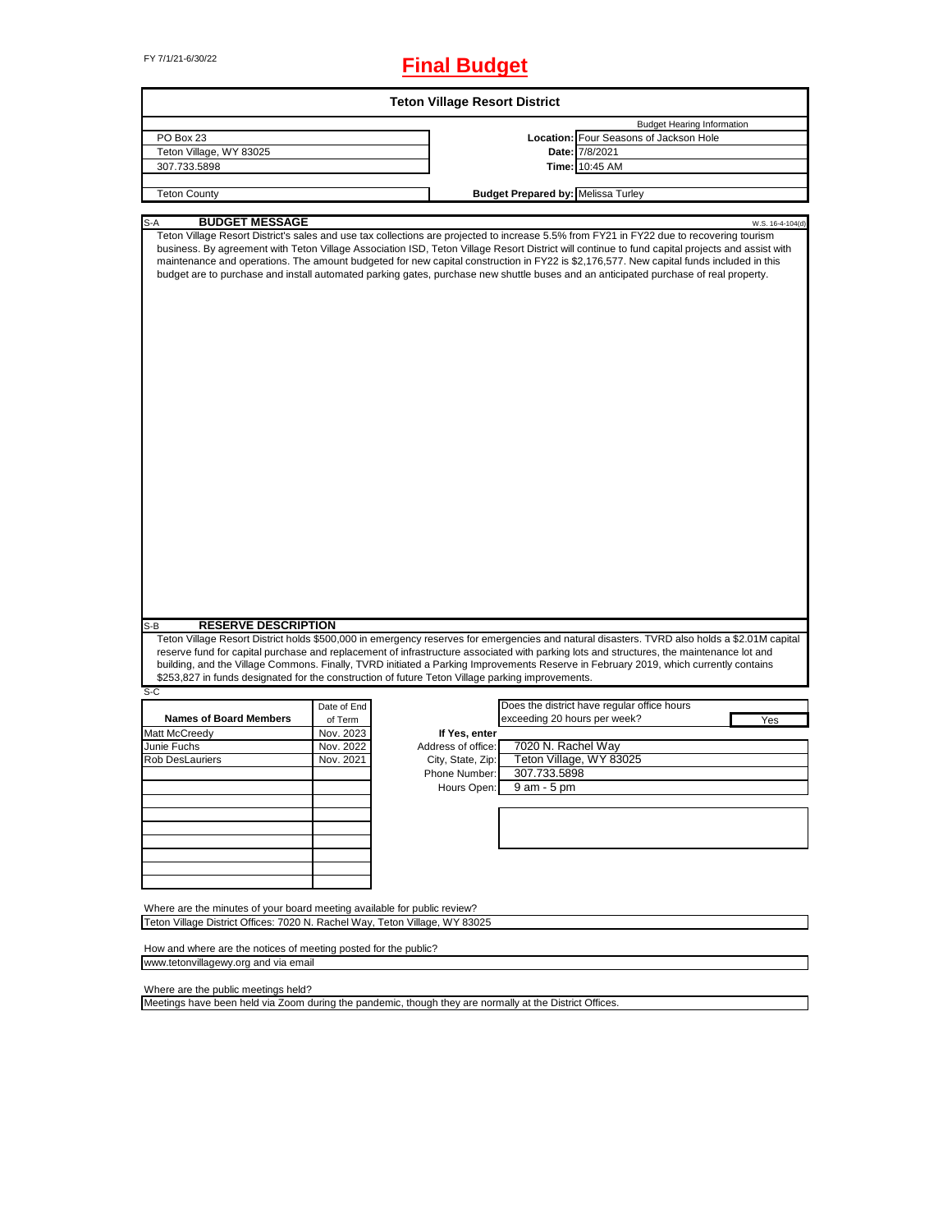## FY 7/1/21-6/30/22 **Final Budget**

|                                                                                                                                                                                                                                                                                                                                                                                                                                                                                                                                                                                                                |             | <b>Teton Village Resort District</b> |                                           |                                             |                                   |
|----------------------------------------------------------------------------------------------------------------------------------------------------------------------------------------------------------------------------------------------------------------------------------------------------------------------------------------------------------------------------------------------------------------------------------------------------------------------------------------------------------------------------------------------------------------------------------------------------------------|-------------|--------------------------------------|-------------------------------------------|---------------------------------------------|-----------------------------------|
|                                                                                                                                                                                                                                                                                                                                                                                                                                                                                                                                                                                                                |             |                                      |                                           |                                             | <b>Budget Hearing Information</b> |
| PO Box 23                                                                                                                                                                                                                                                                                                                                                                                                                                                                                                                                                                                                      |             |                                      |                                           | Location: Four Seasons of Jackson Hole      |                                   |
| Teton Village, WY 83025                                                                                                                                                                                                                                                                                                                                                                                                                                                                                                                                                                                        |             |                                      |                                           | Date: 7/8/2021                              |                                   |
| 307.733.5898                                                                                                                                                                                                                                                                                                                                                                                                                                                                                                                                                                                                   |             |                                      |                                           | Time: 10:45 AM                              |                                   |
| <b>Teton County</b>                                                                                                                                                                                                                                                                                                                                                                                                                                                                                                                                                                                            |             |                                      | <b>Budget Prepared by: Melissa Turley</b> |                                             |                                   |
|                                                                                                                                                                                                                                                                                                                                                                                                                                                                                                                                                                                                                |             |                                      |                                           |                                             |                                   |
| <b>BUDGET MESSAGE</b><br>S-A<br>Teton Village Resort District's sales and use tax collections are projected to increase 5.5% from FY21 in FY22 due to recovering tourism<br>business. By agreement with Teton Village Association ISD, Teton Village Resort District will continue to fund capital projects and assist with<br>maintenance and operations. The amount budgeted for new capital construction in FY22 is \$2,176,577. New capital funds included in this<br>budget are to purchase and install automated parking gates, purchase new shuttle buses and an anticipated purchase of real property. |             |                                      |                                           |                                             | W.S. 16-4-104(d)                  |
|                                                                                                                                                                                                                                                                                                                                                                                                                                                                                                                                                                                                                |             |                                      |                                           |                                             |                                   |
| <b>RESERVE DESCRIPTION</b><br>Teton Village Resort District holds \$500,000 in emergency reserves for emergencies and natural disasters. TVRD also holds a \$2.01M capital<br>reserve fund for capital purchase and replacement of infrastructure associated with parking lots and structures, the maintenance lot and<br>building, and the Village Commons. Finally, TVRD initiated a Parking Improvements Reserve in February 2019, which currently contains                                                                                                                                                 |             |                                      |                                           |                                             |                                   |
| \$253,827 in funds designated for the construction of future Teton Village parking improvements.                                                                                                                                                                                                                                                                                                                                                                                                                                                                                                               |             |                                      |                                           |                                             |                                   |
|                                                                                                                                                                                                                                                                                                                                                                                                                                                                                                                                                                                                                | Date of End |                                      |                                           | Does the district have regular office hours |                                   |
| <b>Names of Board Members</b>                                                                                                                                                                                                                                                                                                                                                                                                                                                                                                                                                                                  | of Term     |                                      | exceeding 20 hours per week?              |                                             | Yes                               |
|                                                                                                                                                                                                                                                                                                                                                                                                                                                                                                                                                                                                                | Nov. 2023   | If Yes, enter                        |                                           |                                             |                                   |
|                                                                                                                                                                                                                                                                                                                                                                                                                                                                                                                                                                                                                | Nov. 2022   | Address of office:                   | 7020 N. Rachel Way                        |                                             |                                   |
|                                                                                                                                                                                                                                                                                                                                                                                                                                                                                                                                                                                                                | Nov. 2021   | City, State, Zip:                    | Teton Village, WY 83025                   |                                             |                                   |
|                                                                                                                                                                                                                                                                                                                                                                                                                                                                                                                                                                                                                |             | Phone Number:                        | 307.733.5898                              |                                             |                                   |
|                                                                                                                                                                                                                                                                                                                                                                                                                                                                                                                                                                                                                |             |                                      | Hours Open: 9 am - 5 pm                   |                                             |                                   |
|                                                                                                                                                                                                                                                                                                                                                                                                                                                                                                                                                                                                                |             |                                      |                                           |                                             |                                   |
|                                                                                                                                                                                                                                                                                                                                                                                                                                                                                                                                                                                                                |             |                                      |                                           |                                             |                                   |
|                                                                                                                                                                                                                                                                                                                                                                                                                                                                                                                                                                                                                |             |                                      |                                           |                                             |                                   |
| S-B<br>S-C<br>Matt McCreedy<br>Junie Fuchs<br><b>Rob DesLauriers</b>                                                                                                                                                                                                                                                                                                                                                                                                                                                                                                                                           |             |                                      |                                           |                                             |                                   |
|                                                                                                                                                                                                                                                                                                                                                                                                                                                                                                                                                                                                                |             |                                      |                                           |                                             |                                   |
|                                                                                                                                                                                                                                                                                                                                                                                                                                                                                                                                                                                                                |             |                                      |                                           |                                             |                                   |
|                                                                                                                                                                                                                                                                                                                                                                                                                                                                                                                                                                                                                |             |                                      |                                           |                                             |                                   |
| Where are the minutes of your board meeting available for public review?<br>Teton Village District Offices: 7020 N. Rachel Way, Teton Village, WY 83025                                                                                                                                                                                                                                                                                                                                                                                                                                                        |             |                                      |                                           |                                             |                                   |

Where are the public meetings held?

Meetings have been held via Zoom during the pandemic, though they are normally at the District Offices.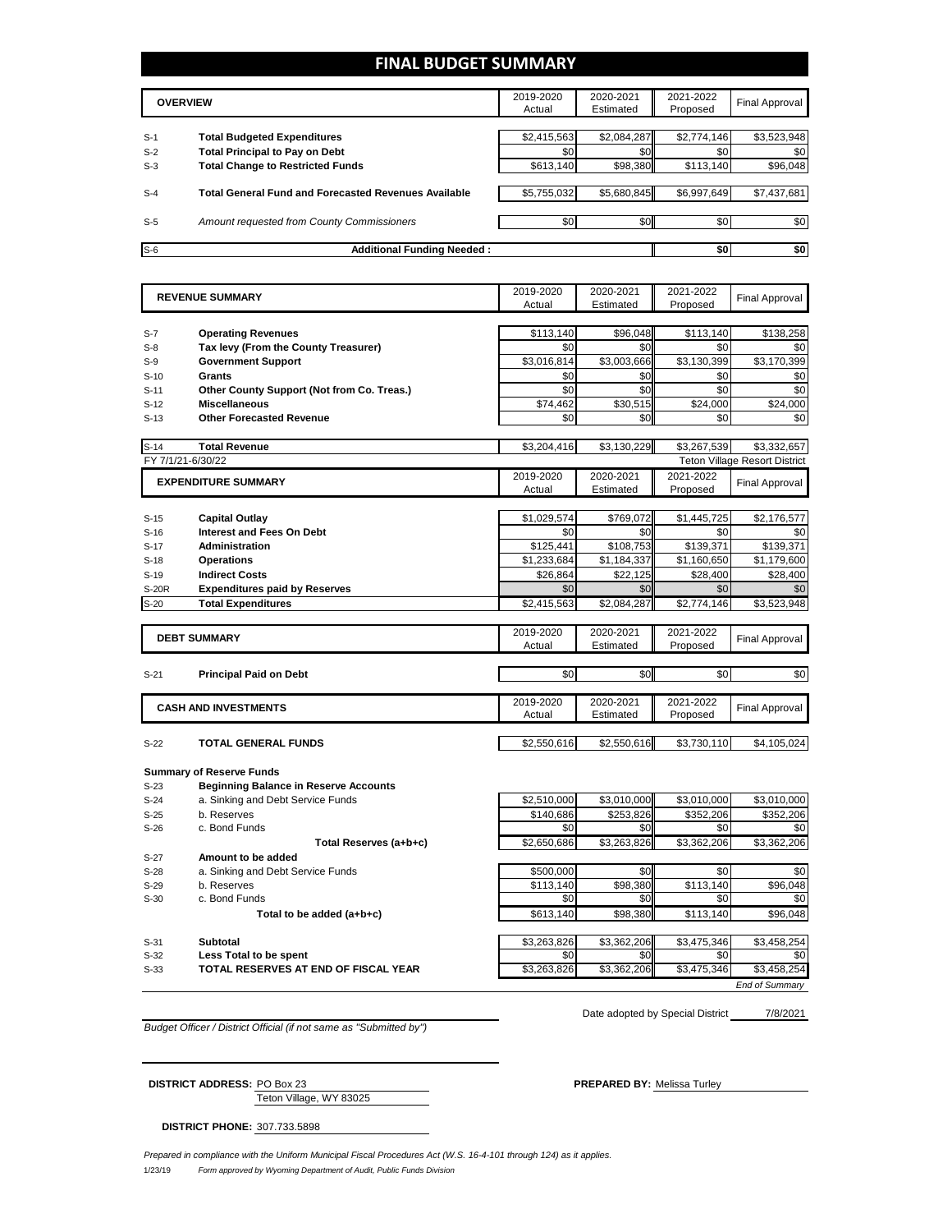#### **FINAL BUDGET SUMMARY**

| <b>OVERVIEW</b> |                                                             | 2019-2020<br>Actual | 2020-2021<br>Estimated | 2021-2022<br>Proposed | Final Approval |
|-----------------|-------------------------------------------------------------|---------------------|------------------------|-----------------------|----------------|
|                 |                                                             |                     |                        |                       |                |
| $S-1$           | <b>Total Budgeted Expenditures</b>                          | \$2,415,563         | \$2,084,287            | \$2,774,146           | \$3,523,948    |
| $S-2$           | <b>Total Principal to Pay on Debt</b>                       | \$0                 | \$0 <sub>1</sub>       | \$0                   | \$0            |
| $S-3$           | <b>Total Change to Restricted Funds</b>                     | \$613,140           | \$98,380               | \$113.140             | \$96,048       |
|                 |                                                             |                     |                        |                       |                |
| $S-4$           | <b>Total General Fund and Forecasted Revenues Available</b> | \$5,755,032         | \$5,680,845            | \$6,997,649           | \$7,437,681    |
|                 |                                                             |                     |                        |                       |                |
| $S-5$           | Amount requested from County Commissioners                  | \$0                 | \$0 <sub>1</sub>       | \$0 <sub>1</sub>      | \$0            |
|                 |                                                             |                     |                        |                       |                |
| $S-6$           | <b>Additional Funding Needed:</b>                           |                     |                        | \$0                   | \$0            |

| <b>REVENUE SUMMARY</b> |                                              | 2019-2020   | 2020-2021   | 2021-2022   | <b>Final Approval</b>                |
|------------------------|----------------------------------------------|-------------|-------------|-------------|--------------------------------------|
|                        |                                              | Actual      | Estimated   | Proposed    |                                      |
|                        |                                              |             |             |             |                                      |
| $S-7$                  | <b>Operating Revenues</b>                    | \$113,140   | \$96,048    | \$113,140   | \$138,258                            |
| $S-8$                  | Tax levy (From the County Treasurer)         | \$0         | \$0         | \$0         | \$0                                  |
| $S-9$                  | <b>Government Support</b>                    | \$3.016.814 | \$3.003.666 | \$3,130,399 | \$3.170.399                          |
| $S-10$                 | Grants                                       | \$0         | \$0         | \$0         | \$0                                  |
| $S-11$                 | Other County Support (Not from Co. Treas.)   | \$0         | \$0         | \$0         | \$0                                  |
| $S-12$                 | <b>Miscellaneous</b>                         | \$74,462    | \$30,515    | \$24,000    | \$24,000                             |
| $S-13$                 | <b>Other Forecasted Revenue</b>              | \$0         | \$0         | \$0         | \$0                                  |
|                        |                                              |             |             |             |                                      |
| $S-14$                 | <b>Total Revenue</b>                         | \$3,204,416 | \$3,130,229 | \$3,267,539 | \$3,332,657                          |
|                        | FY 7/1/21-6/30/22                            |             |             |             | <b>Teton Village Resort District</b> |
|                        | <b>EXPENDITURE SUMMARY</b>                   | 2019-2020   | 2020-2021   | 2021-2022   | <b>Final Approval</b>                |
|                        |                                              | Actual      | Estimated   | Proposed    |                                      |
| $S-15$                 | <b>Capital Outlay</b>                        | \$1,029,574 | \$769,072   | \$1,445,725 | \$2,176,577                          |
| $S-16$                 | <b>Interest and Fees On Debt</b>             | \$0         | \$0         | \$0         | \$0                                  |
| $S-17$                 | <b>Administration</b>                        | \$125,441   | \$108,753   | \$139,371   | \$139,371                            |
| $S-18$                 | <b>Operations</b>                            | \$1,233,684 | \$1,184,337 | \$1,160,650 | \$1,179,600                          |
| $S-19$                 | <b>Indirect Costs</b>                        | \$26,864    | \$22,125    | \$28,400    | \$28,400                             |
| <b>S-20R</b>           | <b>Expenditures paid by Reserves</b>         | \$0         | \$0         | \$0         | \$0                                  |
| $S-20$                 | <b>Total Expenditures</b>                    | \$2.415.563 | \$2.084.287 | \$2,774,146 | \$3,523,948                          |
|                        |                                              |             |             |             |                                      |
|                        | <b>DEBT SUMMARY</b>                          | 2019-2020   | 2020-2021   | 2021-2022   | <b>Final Approval</b>                |
|                        |                                              | Actual      | Estimated   | Proposed    |                                      |
|                        |                                              |             |             |             |                                      |
| $S-21$                 | <b>Principal Paid on Debt</b>                | \$0         | \$0         | \$0         | \$0                                  |
|                        |                                              | 2019-2020   | 2020-2021   | 2021-2022   |                                      |
|                        | <b>CASH AND INVESTMENTS</b>                  | Actual      | Estimated   | Proposed    | <b>Final Approval</b>                |
|                        |                                              |             |             |             |                                      |
| $S-22$                 | TOTAL GENERAL FUNDS                          | \$2,550,616 | \$2,550,616 | \$3,730,110 | \$4,105,024                          |
|                        | <b>Summary of Reserve Funds</b>              |             |             |             |                                      |
| $S-23$                 | <b>Beginning Balance in Reserve Accounts</b> |             |             |             |                                      |
| $S-24$                 | a. Sinking and Debt Service Funds            | \$2,510,000 | \$3,010,000 | \$3,010,000 | \$3,010,000                          |
| $S-25$                 | b. Reserves                                  | \$140,686   | \$253,826   | \$352,206   | \$352,206                            |
| $S-26$                 | c. Bond Funds                                | \$0         | \$0         | \$0         | \$0                                  |
|                        | Total Reserves (a+b+c)                       | \$2.650.686 | \$3,263,826 | \$3,362,206 | \$3,362,206                          |
| $S-27$                 | Amount to be added                           |             |             |             |                                      |
| $S-28$                 | a. Sinking and Debt Service Funds            | \$500,000   | \$0         | \$0         | \$0                                  |
| 0.00                   |                                              | 0.11211     | 00000       | 0.110       | 0.0000                               |

- 
- S-30 c. Bond Funds
	- Total to be added (a+b+c)

**DISTRICT PHONE:** 307.733.5898

| <b>Less Total to be spent</b>        |
|--------------------------------------|
| TOTAL RESERVES AT END OF FISCAL YEAR |

| ັ້     | .                                    | $v \cdot v \cdot v \cdot v$ | <b>PLOUDLU</b> | $V = V - V$ | $\mathsf{v}\mathsf{v}\mathsf{v}\mathsf{v}$ |
|--------|--------------------------------------|-----------------------------|----------------|-------------|--------------------------------------------|
| S-26   | c. Bond Funds                        | \$0                         | \$0            | \$0         | \$0                                        |
|        | Total Reserves (a+b+c)               | \$2,650,686                 | \$3,263,826    | \$3,362,206 | \$3,362,206                                |
| S-27   | Amount to be added                   |                             |                |             |                                            |
| S-28   | a. Sinking and Debt Service Funds    | \$500,000                   | \$0            | \$0         | \$0                                        |
| S-29   | b. Reserves                          | \$113,140                   | \$98,380       | \$113,140   | \$96,048                                   |
| $S-30$ | c. Bond Funds                        | \$0                         | \$0            | \$0         | \$0                                        |
|        | Total to be added (a+b+c)            | \$613,140                   | \$98,380       | \$113,140   | \$96,048                                   |
|        |                                      |                             |                |             |                                            |
| $S-31$ | Subtotal                             | \$3,263,826                 | \$3,362,206    | \$3,475,346 | \$3,458,254                                |
| S-32   | Less Total to be spent               | \$0                         | \$0            | \$C         |                                            |
| $S-33$ | TOTAL RESERVES AT END OF FISCAL YEAR | \$3,263,826                 | \$3,362,206    | \$3,475,346 | \$3,458,254                                |
|        |                                      |                             |                |             | <b>End of Summary</b>                      |

7/8/2021 Date adopted by Special District

Teton Village, WY 83025 **DISTRICT ADDRESS:** PO Box 23 **PREPARED BY:** Melissa Turley

*Budget Officer / District Official (if not same as "Submitted by")*

1/23/19 *Form approved by Wyoming Department of Audit, Public Funds Division Prepared in compliance with the Uniform Municipal Fiscal Procedures Act (W.S. 16-4-101 through 124) as it applies.*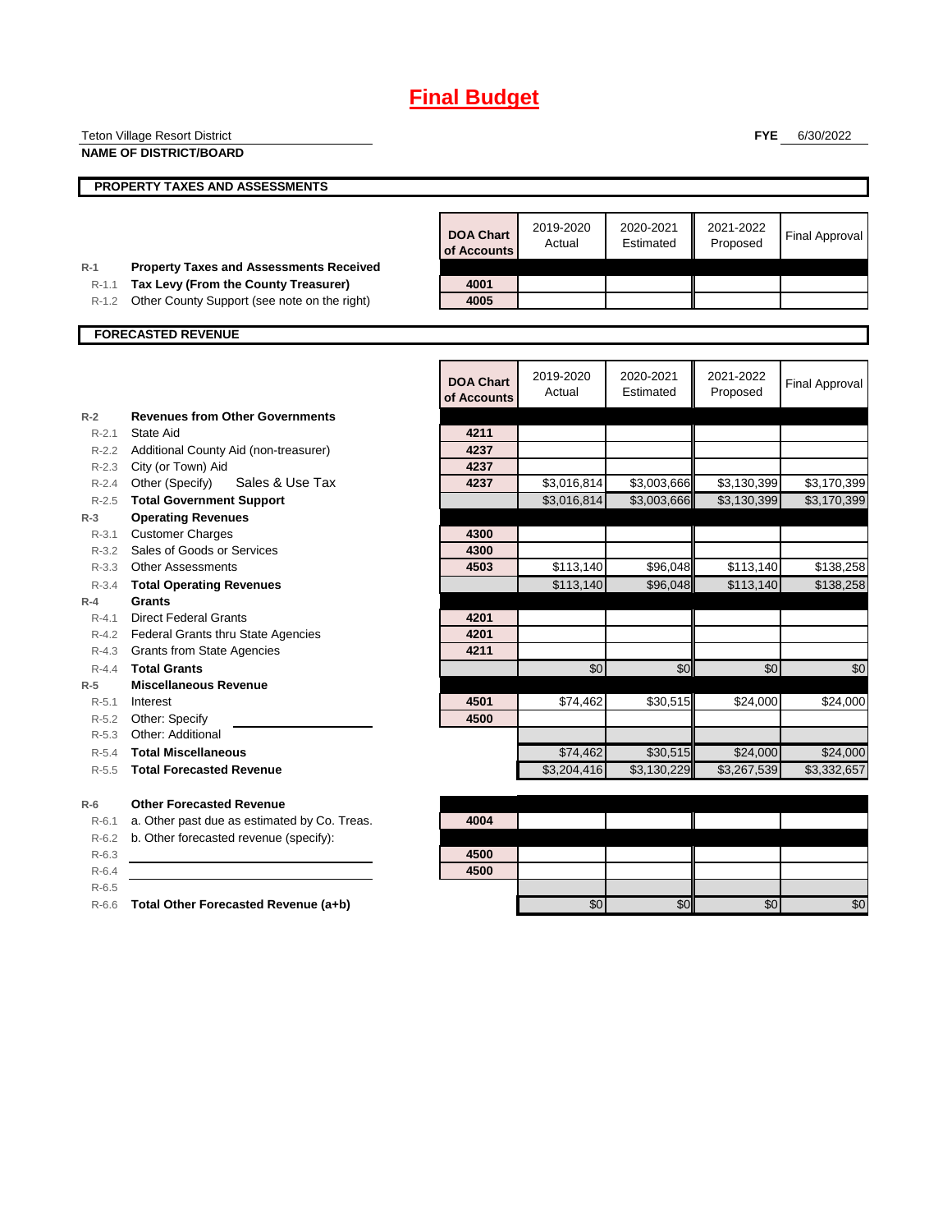|                    | <b>Teton Village Resort District</b>                |                  |             |             | <b>FYE</b>  | 6/30/2022             |
|--------------------|-----------------------------------------------------|------------------|-------------|-------------|-------------|-----------------------|
|                    | <b>NAME OF DISTRICT/BOARD</b>                       |                  |             |             |             |                       |
|                    |                                                     |                  |             |             |             |                       |
|                    | PROPERTY TAXES AND ASSESSMENTS                      |                  |             |             |             |                       |
|                    |                                                     |                  |             |             |             |                       |
|                    |                                                     | <b>DOA Chart</b> | 2019-2020   | 2020-2021   | 2021-2022   | <b>Final Approval</b> |
|                    |                                                     | of Accounts      | Actual      | Estimated   | Proposed    |                       |
| $R-1$              | <b>Property Taxes and Assessments Received</b>      |                  |             |             |             |                       |
| $R-1.1$            | Tax Levy (From the County Treasurer)                | 4001             |             |             |             |                       |
| $R-1.2$            | Other County Support (see note on the right)        | 4005             |             |             |             |                       |
|                    |                                                     |                  |             |             |             |                       |
|                    | <b>FORECASTED REVENUE</b>                           |                  |             |             |             |                       |
|                    |                                                     |                  |             |             |             |                       |
|                    |                                                     | <b>DOA Chart</b> | 2019-2020   | 2020-2021   | 2021-2022   | <b>Final Approval</b> |
|                    |                                                     | of Accounts      | Actual      | Estimated   | Proposed    |                       |
| $R-2$              | <b>Revenues from Other Governments</b>              |                  |             |             |             |                       |
| $R - 2.1$          | State Aid                                           | 4211             |             |             |             |                       |
| $R - 2.2$          | Additional County Aid (non-treasurer)               | 4237             |             |             |             |                       |
|                    | R-2.3 City (or Town) Aid                            | 4237             |             |             |             |                       |
| R-2.4              | Other (Specify)<br>Sales & Use Tax                  | 4237             | \$3,016,814 | \$3,003,666 | \$3,130,399 | \$3,170,399           |
| $R - 2.5$          | <b>Total Government Support</b>                     |                  | \$3,016,814 | \$3,003,666 | \$3,130,399 | \$3,170,399           |
| $R-3$              | <b>Operating Revenues</b>                           |                  |             |             |             |                       |
| $R - 3.1$          | <b>Customer Charges</b>                             | 4300             |             |             |             |                       |
|                    | R-3.2 Sales of Goods or Services                    | 4300             |             |             |             |                       |
| $R - 3.3$          | <b>Other Assessments</b>                            | 4503             | \$113,140   | \$96,048    | \$113,140   | \$138,258             |
| $R - 3.4$          | <b>Total Operating Revenues</b>                     |                  | \$113,140   | \$96,048    | \$113,140   | \$138,258             |
| $R-4$              | Grants                                              |                  |             |             |             |                       |
| $R - 4.1$          | <b>Direct Federal Grants</b>                        | 4201             |             |             |             |                       |
|                    | R-4.2 Federal Grants thru State Agencies            | 4201<br>4211     |             |             |             |                       |
| $R - 4.3$          | <b>Grants from State Agencies</b>                   |                  |             |             |             |                       |
| $R - 4.4$<br>$R-5$ | <b>Total Grants</b><br><b>Miscellaneous Revenue</b> |                  | \$0         | \$0         | \$0         | \$0                   |
| $R - 5.1$          | Interest                                            |                  | \$74,462    |             | \$24,000    | \$24,000              |
| R-5.2              | Other: Specify                                      | 4501<br>4500     |             | \$30,515    |             |                       |
| $R - 5.3$          | Other: Additional                                   |                  |             |             |             |                       |
| $R - 5.4$          | <b>Total Miscellaneous</b>                          |                  | \$74,462    | \$30,515    | \$24,000    | \$24,000              |
| $R - 5.5$          | <b>Total Forecasted Revenue</b>                     |                  | \$3,204,416 | \$3,130,229 | \$3,267,539 | \$3,332,657           |
|                    |                                                     |                  |             |             |             |                       |
| $R-6$              | <b>Other Forecasted Revenue</b>                     |                  |             |             |             |                       |
| $R-6.1$            | a. Other past due as estimated by Co. Treas.        | 4004             |             |             |             |                       |
| $R-6.2$            | b. Other forecasted revenue (specify):              |                  |             |             |             |                       |
| $R-6.3$            |                                                     | 4500             |             |             |             |                       |
| $R-6.4$            |                                                     | 4500             |             |             |             |                       |
| $R-6.5$            |                                                     |                  |             |             |             |                       |
|                    | R-6.6 Total Other Forecasted Revenue (a+b)          |                  | \$0         | \$0         | \$0         | \$0                   |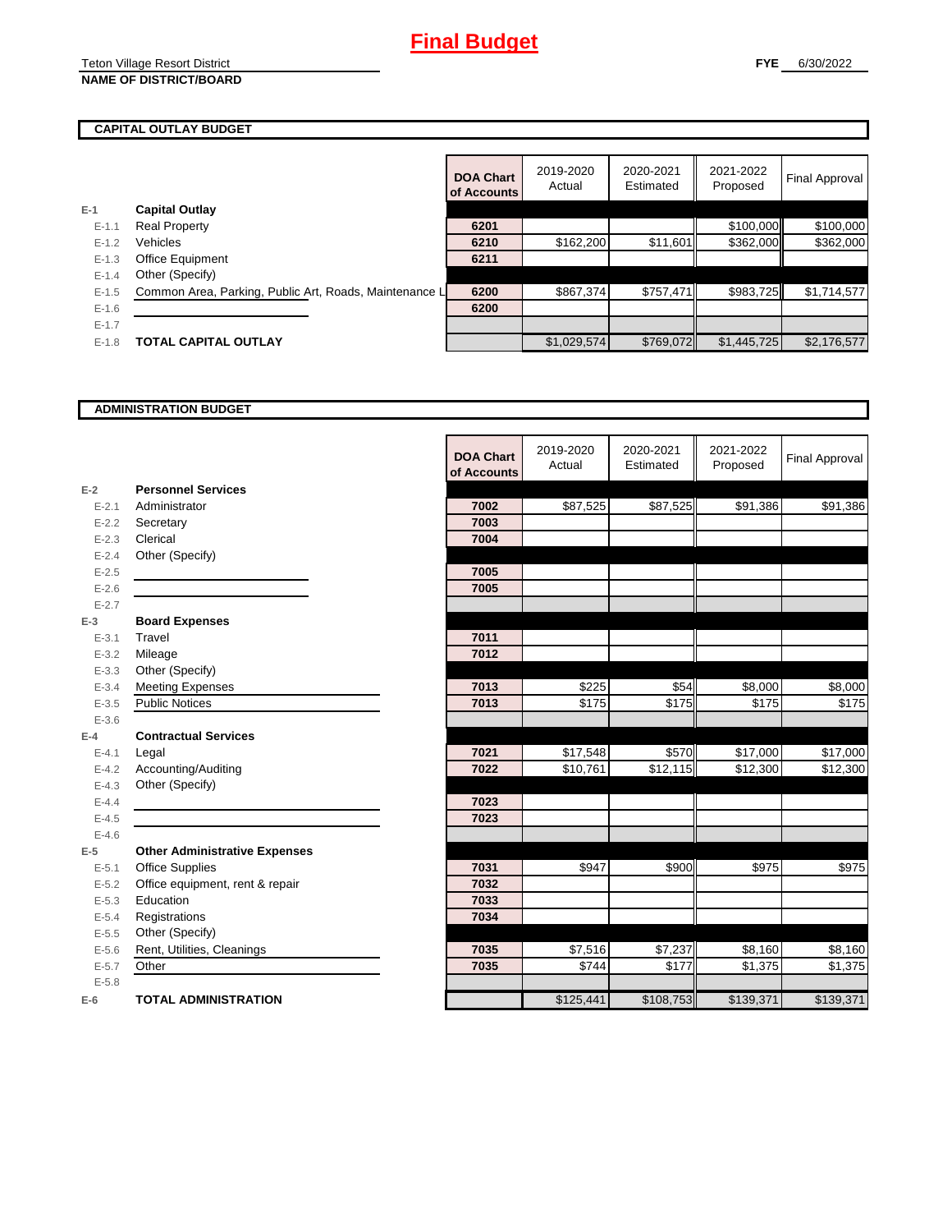#### **CAPITAL OUTLAY BUDGET**

|           |                                                        | <b>DOA Chart</b><br>of Accounts | 2019-2020<br>Actual | 2020-2021<br>Estimated | 2021-2022<br>Proposed | Final Approval |
|-----------|--------------------------------------------------------|---------------------------------|---------------------|------------------------|-----------------------|----------------|
| $E-1$     | <b>Capital Outlay</b>                                  |                                 |                     |                        |                       |                |
| $E - 1.1$ | <b>Real Property</b>                                   | 6201                            |                     |                        | \$100,000             | \$100,000      |
| $E - 1.2$ | Vehicles                                               | 6210                            | \$162,200           | \$11,601               | \$362,000             | \$362,000      |
| $E - 1.3$ | Office Equipment                                       | 6211                            |                     |                        |                       |                |
| $E - 1.4$ | Other (Specify)                                        |                                 |                     |                        |                       |                |
| $E - 1.5$ | Common Area, Parking, Public Art, Roads, Maintenance L | 6200                            | \$867,374           | \$757,471              | \$983,725             | \$1,714,577    |
| $E-1.6$   |                                                        | 6200                            |                     |                        |                       |                |
| $E-1.7$   |                                                        |                                 |                     |                        |                       |                |
| $E-1.8$   | TOTAL CAPITAL OUTLAY                                   |                                 | \$1,029,574         | \$769,072              | \$1,445,725           | \$2,176,577    |

#### **ADMINISTRATION BUDGET**

|           |                                      | <b>DOA Chart</b><br>of Accounts | 2019-2020<br>Actual | 2020-2021<br>Estimated | 2021-2022<br>Proposed | <b>Final Approval</b> |
|-----------|--------------------------------------|---------------------------------|---------------------|------------------------|-----------------------|-----------------------|
| $E-2$     | <b>Personnel Services</b>            |                                 |                     |                        |                       |                       |
| $E - 2.1$ | Administrator                        | 7002                            | \$87,525            | \$87,525               | \$91,386              | \$91,386              |
| $E - 2.2$ | Secretary                            | 7003                            |                     |                        |                       |                       |
| $E - 2.3$ | Clerical                             | 7004                            |                     |                        |                       |                       |
| $E - 2.4$ | Other (Specify)                      |                                 |                     |                        |                       |                       |
| $E - 2.5$ |                                      | 7005                            |                     |                        |                       |                       |
| $E - 2.6$ |                                      | 7005                            |                     |                        |                       |                       |
| $E - 2.7$ |                                      |                                 |                     |                        |                       |                       |
| $E-3$     | <b>Board Expenses</b>                |                                 |                     |                        |                       |                       |
| $E - 3.1$ | Travel                               | 7011                            |                     |                        |                       |                       |
| $E - 3.2$ | Mileage                              | 7012                            |                     |                        |                       |                       |
| $E - 3.3$ | Other (Specify)                      |                                 |                     |                        |                       |                       |
| $E - 3.4$ | <b>Meeting Expenses</b>              | 7013                            | \$225               | \$54                   | \$8,000               | \$8,000               |
| $E - 3.5$ | <b>Public Notices</b>                | 7013                            | \$175               | \$175                  | \$175                 | \$175                 |
| $E - 3.6$ |                                      |                                 |                     |                        |                       |                       |
| $E-4$     | <b>Contractual Services</b>          |                                 |                     |                        |                       |                       |
| $E - 4.1$ | Legal                                | 7021                            | \$17,548            | \$570                  | \$17,000              | \$17,000              |
| $E - 4.2$ | Accounting/Auditing                  | 7022                            | \$10,761            | $\overline{$}12,115$   | \$12,300              | \$12,300              |
| $E - 4.3$ | Other (Specify)                      |                                 |                     |                        |                       |                       |
| $E-4.4$   |                                      | 7023                            |                     |                        |                       |                       |
| $E - 4.5$ |                                      | 7023                            |                     |                        |                       |                       |
| $E-4.6$   |                                      |                                 |                     |                        |                       |                       |
| $E-5$     | <b>Other Administrative Expenses</b> |                                 |                     |                        |                       |                       |
| $E - 5.1$ | <b>Office Supplies</b>               | 7031                            | \$947               | \$900                  | \$975                 | \$975                 |
| $E - 5.2$ | Office equipment, rent & repair      | 7032                            |                     |                        |                       |                       |
| $E - 5.3$ | Education                            | 7033                            |                     |                        |                       |                       |
| $E - 5.4$ | Registrations                        | 7034                            |                     |                        |                       |                       |
| $E-5.5$   | Other (Specify)                      |                                 |                     |                        |                       |                       |
| $E-5.6$   | Rent, Utilities, Cleanings           | 7035                            | \$7,516             | \$7,237                | \$8,160               | \$8,160               |
| $E - 5.7$ | Other                                | 7035                            | \$744               | \$177                  | \$1,375               | \$1,375               |
| $E - 5.8$ |                                      |                                 |                     |                        |                       |                       |
| $E-6$     | <b>TOTAL ADMINISTRATION</b>          |                                 | \$125,441           | \$108,753              | \$139,371             | \$139,371             |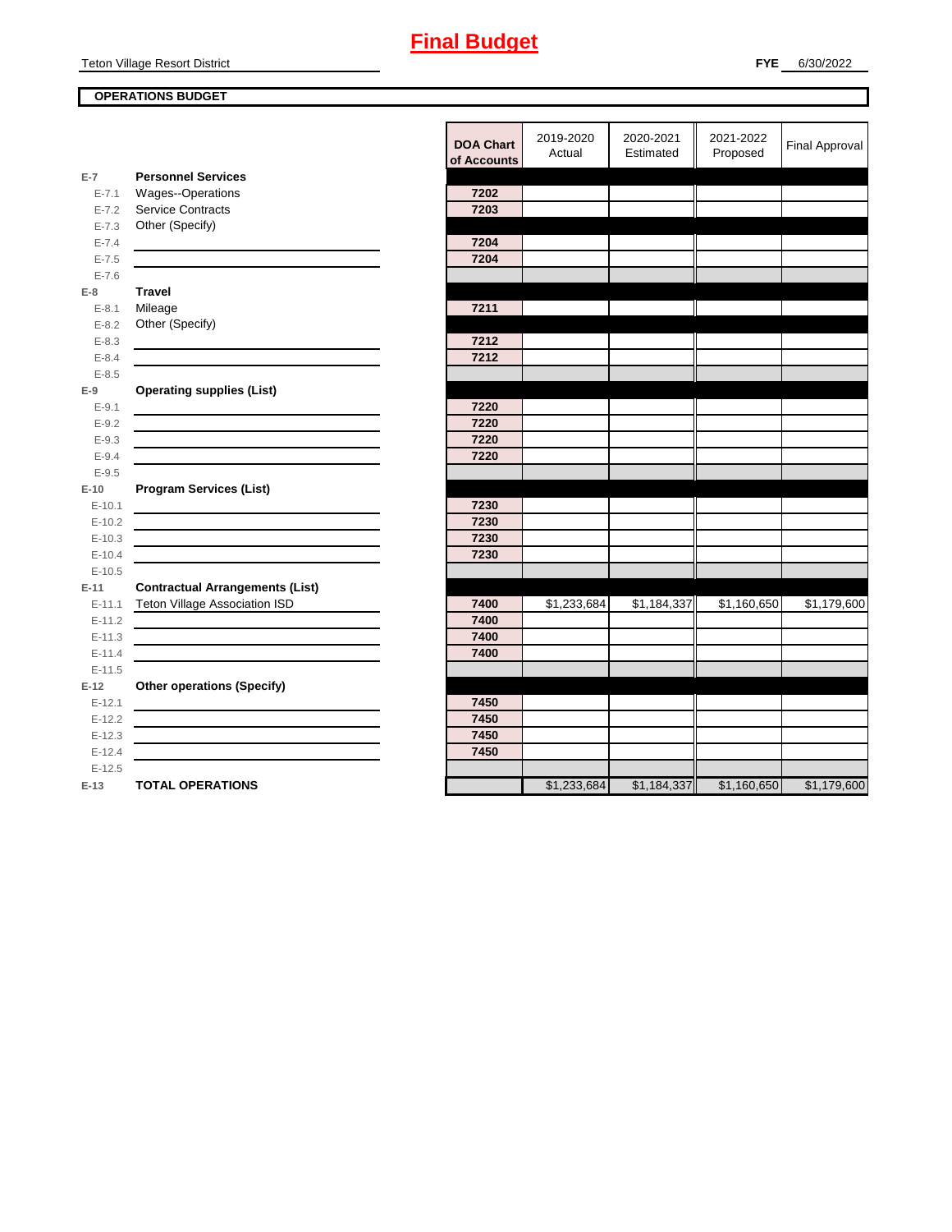Teton Village Resort District

#### **OPERATIONS BUDGET**

| of Accounts                                                                                                                               |             |             |
|-------------------------------------------------------------------------------------------------------------------------------------------|-------------|-------------|
| <b>Personnel Services</b><br>$E-7$                                                                                                        |             |             |
| Wages--Operations<br>$E - 7.1$<br>7202                                                                                                    |             |             |
| Service Contracts<br>7203<br>$E - 7.2$                                                                                                    |             |             |
| Other (Specify)<br>$E - 7.3$                                                                                                              |             |             |
| 7204<br>$E - 7.4$                                                                                                                         |             |             |
| 7204<br>$E - 7.5$                                                                                                                         |             |             |
| $E - 7.6$                                                                                                                                 |             |             |
| <b>Travel</b><br>$E-8$                                                                                                                    |             |             |
| 7211<br>$E - 8.1$<br>Mileage                                                                                                              |             |             |
| Other (Specify)<br>$E - 8.2$                                                                                                              |             |             |
| $E - 8.3$<br>7212                                                                                                                         |             |             |
| 7212<br>$E - 8.4$                                                                                                                         |             |             |
| $E - 8.5$                                                                                                                                 |             |             |
| <b>Operating supplies (List)</b><br>$E-9$                                                                                                 |             |             |
| $E-9.1$<br>7220                                                                                                                           |             |             |
| 7220<br>$E-9.2$<br><u> 1989 - Johann Barbara, martin amerikan basar dan basa dan basar dalam basa dalam basa dalam basa dalam basa </u>   |             |             |
| 7220<br>$E - 9.3$<br><u> 1989 - Johann Barn, amerikansk politiker (d. 1989)</u>                                                           |             |             |
| $E - 9.4$<br>7220<br>the control of the control of the control of the control of the control of the control of                            |             |             |
| $E - 9.5$                                                                                                                                 |             |             |
| <b>Program Services (List)</b><br>$E-10$                                                                                                  |             |             |
| 7230<br>$E-10.1$                                                                                                                          |             |             |
| 7230<br>$E-10.2$                                                                                                                          |             |             |
| 7230<br>$E-10.3$                                                                                                                          |             |             |
| 7230<br>$E-10.4$                                                                                                                          |             |             |
| $E-10.5$                                                                                                                                  |             |             |
| <b>Contractual Arrangements (List)</b><br>$E-11$                                                                                          |             |             |
| Teton Village Association ISD<br>7400<br>\$1,184,337<br>\$1,233,684<br>$E-11.1$                                                           | \$1,160,650 | \$1,179,600 |
| 7400<br>$E-11.2$                                                                                                                          |             |             |
| 7400<br>$E-11.3$<br><u> 1980 - Johann Barbara, martin amerikan basar dan basar dalam basar dalam basar dalam basar dalam basar dalam</u>  |             |             |
| 7400<br>$E-11.4$<br><u> 1989 - Johann Barbara, martin amerikan basar dan basa dan basa dan basa dalam basa dalam basa dalam basa dala</u> |             |             |
| $E-11.5$                                                                                                                                  |             |             |
| <b>Other operations (Specify)</b><br>$E-12$                                                                                               |             |             |
| 7450<br>$E-12.1$                                                                                                                          |             |             |
| 7450<br>$E-12.2$                                                                                                                          |             |             |
| <u> 1980 - Jan Salaman, manazarta amerikana amerikana amerikana amerikana amerikana amerikana amerikana amerikana</u><br>7450<br>$E-12.3$ |             |             |
| 7450<br>$E-12.4$                                                                                                                          |             |             |
| $E-12.5$                                                                                                                                  |             |             |
| \$1,233,684<br>\$1,184,337<br><b>TOTAL OPERATIONS</b><br>$E-13$                                                                           | \$1,160,650 | \$1,179,600 |

| <b>DOA Chart</b><br>of Accounts | 2019-2020<br>Actual | 2020-2021<br>Estimated | 2021-2022<br>Proposed | <b>Final Approval</b> |
|---------------------------------|---------------------|------------------------|-----------------------|-----------------------|
|                                 |                     |                        |                       |                       |
| 7202                            |                     |                        |                       |                       |
| 7203                            |                     |                        |                       |                       |
|                                 |                     |                        |                       |                       |
| 7204<br>7204                    |                     |                        |                       |                       |
|                                 |                     |                        |                       |                       |
|                                 |                     |                        |                       |                       |
| 7211                            |                     |                        |                       |                       |
|                                 |                     |                        |                       |                       |
| 7212                            |                     |                        |                       |                       |
| 7212                            |                     |                        |                       |                       |
|                                 |                     |                        |                       |                       |
|                                 |                     |                        |                       |                       |
| 7220                            |                     |                        |                       |                       |
| 7220                            |                     |                        |                       |                       |
| 7220                            |                     |                        |                       |                       |
| 7220                            |                     |                        |                       |                       |
|                                 |                     |                        |                       |                       |
| 7230                            |                     |                        |                       |                       |
| 7230                            |                     |                        |                       |                       |
| 7230                            |                     |                        |                       |                       |
| 7230                            |                     |                        |                       |                       |
|                                 |                     |                        |                       |                       |
|                                 |                     |                        |                       |                       |
| 7400                            | \$1,233,684         | \$1,184,337            | \$1,160,650           | \$1,179,600           |
| 7400                            |                     |                        |                       |                       |
| 7400                            |                     |                        |                       |                       |
| 7400                            |                     |                        |                       |                       |
|                                 |                     |                        |                       |                       |
|                                 |                     |                        |                       |                       |
| 7450                            |                     |                        |                       |                       |
| 7450<br>7450                    |                     |                        |                       |                       |
| 7450                            |                     |                        |                       |                       |
|                                 |                     |                        |                       |                       |
|                                 | \$1,233,684         | \$1,184,337            | \$1,160,650           | \$1,179,600           |
|                                 |                     |                        |                       |                       |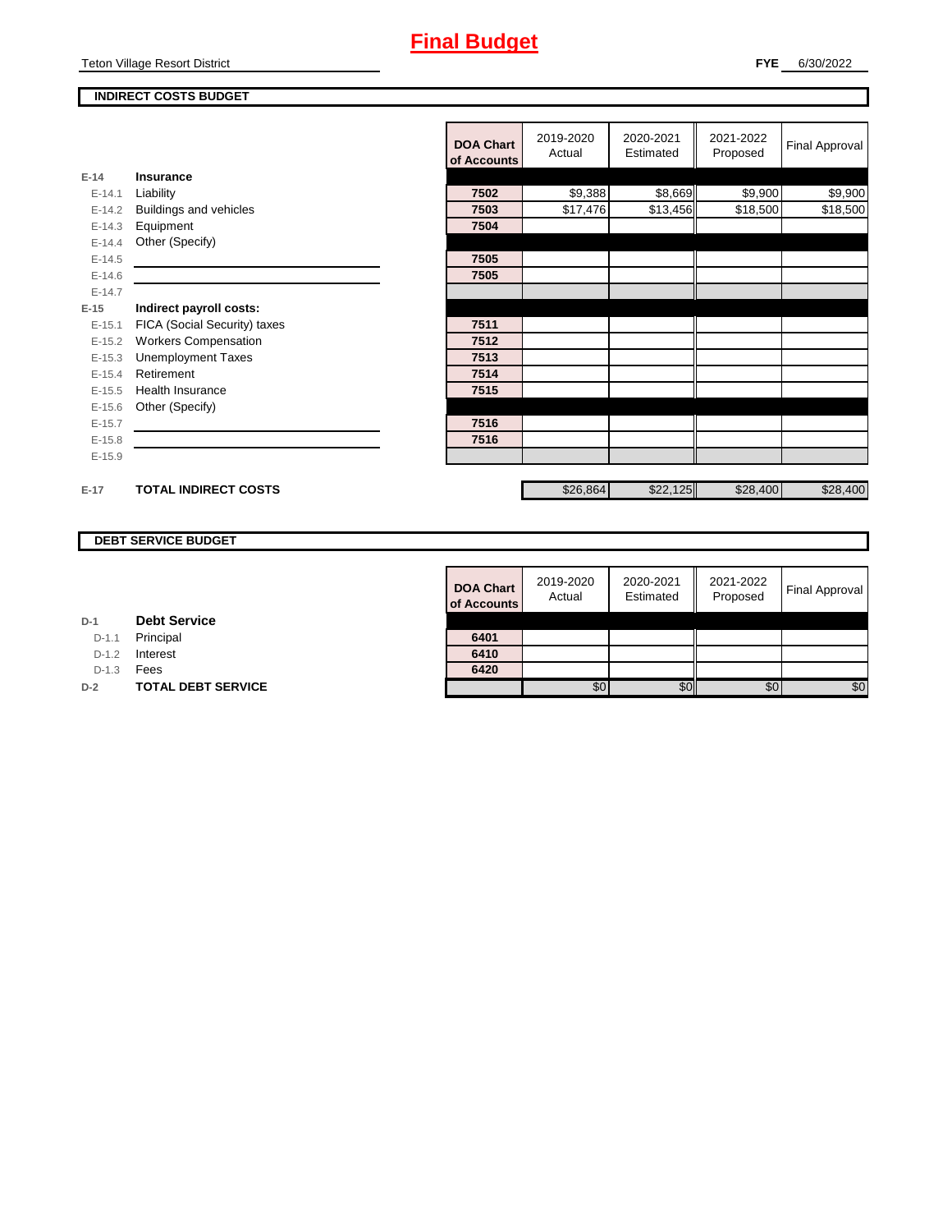Teton Village Resort District

#### **INDIRECT COSTS BUDGET**

|          |                              | <b>DOA Chart</b><br>of Accounts | 2019-2020<br>Actual | 2020-2021<br>Estimated | 2021-2022<br>Proposed | Final Approval |
|----------|------------------------------|---------------------------------|---------------------|------------------------|-----------------------|----------------|
| $E-14$   | Insurance                    |                                 |                     |                        |                       |                |
| $E-14.1$ | Liability                    | 7502                            | \$9,388             | \$8,669                | \$9,900               | \$9,900        |
| $E-14.2$ | Buildings and vehicles       | 7503                            | \$17,476            | \$13,456               | \$18,500              | \$18,500       |
| $E-14.3$ | Equipment                    | 7504                            |                     |                        |                       |                |
| $E-14.4$ | Other (Specify)              |                                 |                     |                        |                       |                |
| $E-14.5$ |                              | 7505                            |                     |                        |                       |                |
| $E-14.6$ |                              | 7505                            |                     |                        |                       |                |
| $E-14.7$ |                              |                                 |                     |                        |                       |                |
| $E-15$   | Indirect payroll costs:      |                                 |                     |                        |                       |                |
| $E-15.1$ | FICA (Social Security) taxes | 7511                            |                     |                        |                       |                |
| $E-15.2$ | <b>Workers Compensation</b>  | 7512                            |                     |                        |                       |                |
| $E-15.3$ | <b>Unemployment Taxes</b>    | 7513                            |                     |                        |                       |                |
| $E-15.4$ | Retirement                   | 7514                            |                     |                        |                       |                |
| $E-15.5$ | <b>Health Insurance</b>      | 7515                            |                     |                        |                       |                |
| $E-15.6$ | Other (Specify)              |                                 |                     |                        |                       |                |
| $E-15.7$ |                              | 7516                            |                     |                        |                       |                |
| $E-15.8$ |                              | 7516                            |                     |                        |                       |                |
| $E-15.9$ |                              |                                 |                     |                        |                       |                |
|          |                              |                                 |                     |                        |                       |                |
| $E-17$   | <b>TOTAL INDIRECT COSTS</b>  |                                 | \$26,864            | \$22,125               | \$28,400              | \$28,400       |

#### **DEBT SERVICE BUDGET**

| <b>DOA Chart</b><br>of Accounts | 2019-2020<br>Actual | 2020-2021<br>Estimated | 2021-2022<br>Proposed | <b>Final Approval</b> |
|---------------------------------|---------------------|------------------------|-----------------------|-----------------------|
|                                 |                     |                        |                       |                       |
| 6401                            |                     |                        |                       |                       |
| 6410                            |                     |                        |                       |                       |
| 6420                            |                     |                        |                       |                       |
|                                 | \$0                 |                        | \$С                   | \$0                   |

| D-1 |  | <b>Debt Service</b> |
|-----|--|---------------------|
|-----|--|---------------------|

D-1.1 Principal

D-1.2 **Interest** 

D-1.3 **Fees** 

**D-2 TOTAL DEBT SERVICE**